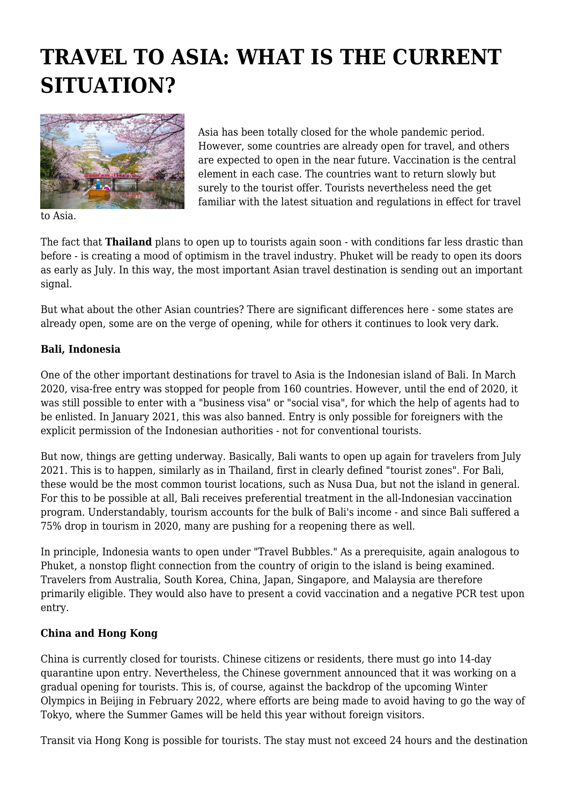# **TRAVEL TO ASIA: WHAT IS THE CURRENT SITUATION?**



to Asia.

Asia has been totally closed for the whole pandemic period. However, some countries are already open for travel, and others are expected to open in the near future. Vaccination is the central element in each case. The countries want to return slowly but surely to the tourist offer. Tourists nevertheless need the get familiar with the latest situation and regulations in effect for travel

The fact that **Thailand** plans to open up to tourists again soon - with conditions far less drastic than before - is creating a mood of optimism in the travel industry. Phuket will be ready to open its doors as early as July. In this way, the most important Asian travel destination is sending out an important signal.

But what about the other Asian countries? There are significant differences here - some states are already open, some are on the verge of opening, while for others it continues to look very dark.

## **Bali, Indonesia**

One of the other important destinations for travel to Asia is the Indonesian island of Bali. In March 2020, visa-free entry was stopped for people from 160 countries. However, until the end of 2020, it was still possible to enter with a "business visa" or "social visa", for which the help of agents had to be enlisted. In January 2021, this was also banned. Entry is only possible for foreigners with the explicit permission of the Indonesian authorities - not for conventional tourists.

But now, things are getting underway. Basically, Bali wants to open up again for travelers from July 2021. This is to happen, similarly as in Thailand, first in clearly defined "tourist zones". For Bali, these would be the most common tourist locations, such as Nusa Dua, but not the island in general. For this to be possible at all, Bali receives preferential treatment in the all-Indonesian vaccination program. Understandably, tourism accounts for the bulk of Bali's income - and since Bali suffered a 75% drop in tourism in 2020, many are pushing for a reopening there as well.

In principle, Indonesia wants to open under "Travel Bubbles." As a prerequisite, again analogous to Phuket, a nonstop flight connection from the country of origin to the island is being examined. Travelers from Australia, South Korea, China, Japan, Singapore, and Malaysia are therefore primarily eligible. They would also have to present a covid vaccination and a negative PCR test upon entry.

## **China and Hong Kong**

China is currently closed for tourists. Chinese citizens or residents, there must go into 14-day quarantine upon entry. Nevertheless, the Chinese government announced that it was working on a gradual opening for tourists. This is, of course, against the backdrop of the upcoming Winter Olympics in Beijing in February 2022, where efforts are being made to avoid having to go the way of Tokyo, where the Summer Games will be held this year without foreign visitors.

Transit via Hong Kong is possible for tourists. The stay must not exceed 24 hours and the destination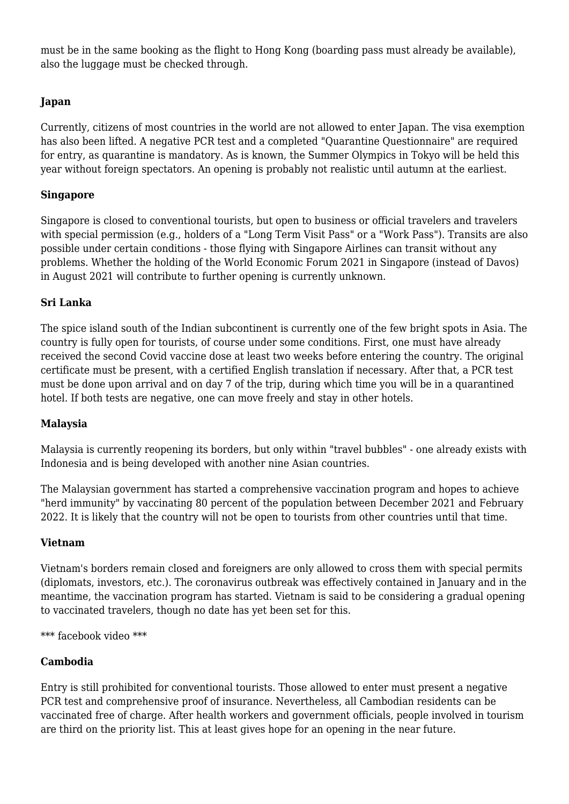must be in the same booking as the flight to Hong Kong (boarding pass must already be available), also the luggage must be checked through.

## **Japan**

Currently, citizens of most countries in the world are not allowed to enter Japan. The visa exemption has also been lifted. A negative PCR test and a completed "Quarantine Questionnaire" are required for entry, as quarantine is mandatory. As is known, the Summer Olympics in Tokyo will be held this year without foreign spectators. An opening is probably not realistic until autumn at the earliest.

## **Singapore**

Singapore is closed to conventional tourists, but open to business or official travelers and travelers with special permission (e.g., holders of a "Long Term Visit Pass" or a "Work Pass"). Transits are also possible under certain conditions - those flying with Singapore Airlines can transit without any problems. Whether the holding of the World Economic Forum 2021 in Singapore (instead of Davos) in August 2021 will contribute to further opening is currently unknown.

## **Sri Lanka**

The spice island south of the Indian subcontinent is currently one of the few bright spots in Asia. The country is fully open for tourists, of course under some conditions. First, one must have already received the second Covid vaccine dose at least two weeks before entering the country. The original certificate must be present, with a certified English translation if necessary. After that, a PCR test must be done upon arrival and on day 7 of the trip, during which time you will be in a quarantined hotel. If both tests are negative, one can move freely and stay in other hotels.

#### **Malaysia**

Malaysia is currently reopening its borders, but only within "travel bubbles" - one already exists with Indonesia and is being developed with another nine Asian countries.

The Malaysian government has started a comprehensive vaccination program and hopes to achieve "herd immunity" by vaccinating 80 percent of the population between December 2021 and February 2022. It is likely that the country will not be open to tourists from other countries until that time.

#### **Vietnam**

Vietnam's borders remain closed and foreigners are only allowed to cross them with special permits (diplomats, investors, etc.). The coronavirus outbreak was effectively contained in January and in the meantime, the vaccination program has started. Vietnam is said to be considering a gradual opening to vaccinated travelers, though no date has yet been set for this.

\*\*\* facebook video \*\*\*

#### **Cambodia**

Entry is still prohibited for conventional tourists. Those allowed to enter must present a negative PCR test and comprehensive proof of insurance. Nevertheless, all Cambodian residents can be vaccinated free of charge. After health workers and government officials, people involved in tourism are third on the priority list. This at least gives hope for an opening in the near future.